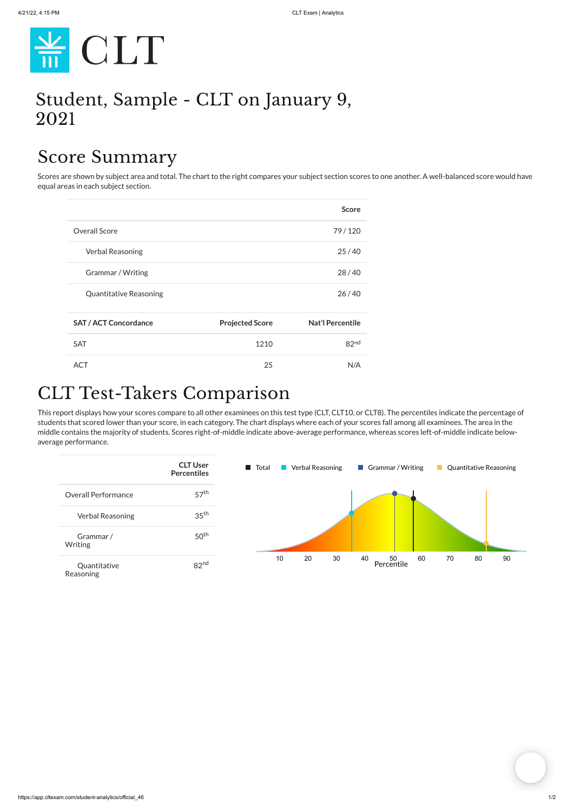

# Student, Sample - CLT on January 9, 2021

## Score Summary

Scores are shown by subject area and total. The chart to the right compares your subject section scores to one another. A well-balanced score would have equal areas in each subject section.

## CLT Test-Takers Comparison

|                               |                        | <b>Score</b>            |
|-------------------------------|------------------------|-------------------------|
| <b>Overall Score</b>          |                        | 79/120                  |
| <b>Verbal Reasoning</b>       |                        | 25/40                   |
| Grammar / Writing             |                        | 28/40                   |
| <b>Quantitative Reasoning</b> |                        | 26/40                   |
| <b>SAT / ACT Concordance</b>  | <b>Projected Score</b> | <b>Nat'l Percentile</b> |
| <b>SAT</b>                    | 1210                   | 82 <sup>nd</sup>        |
| <b>ACT</b>                    | 25                     | N/A                     |

This report displays how your scores compare to all other examinees on this test type (CLT, CLT10, or CLT8). The percentiles indicate the percentage of students that scored lower than your score, in each category. The chart displays where each of your scores fall among all examinees. The area in the middle contains the majority of students. Scores right-of-middle indicate above-average performance, whereas scores left-of-middle indicate belowaverage performance.



https://app.cltexam.com/student-analytics/official\_46 1/2